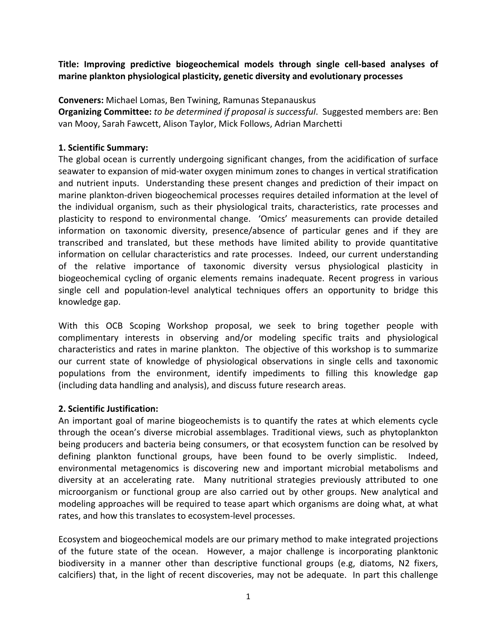**Title: Improving predictive biogeochemical models through single cell‐based analyses of marine plankton physiological plasticity, genetic diversity and evolutionary processes**

**Conveners:** Michael Lomas, Ben Twining, Ramunas Stepanauskus **Organizing Committee:** *to be determined if proposal is successful*. Suggested members are: Ben van Mooy, Sarah Fawcett, Alison Taylor, Mick Follows, Adrian Marchetti

# **1. Scientific Summary:**

The global ocean is currently undergoing significant changes, from the acidification of surface seawater to expansion of mid‐water oxygen minimum zones to changes in vertical stratification and nutrient inputs. Understanding these present changes and prediction of their impact on marine plankton-driven biogeochemical processes requires detailed information at the level of the individual organism, such as their physiological traits, characteristics, rate processes and plasticity to respond to environmental change. 'Omics' measurements can provide detailed information on taxonomic diversity, presence/absence of particular genes and if they are transcribed and translated, but these methods have limited ability to provide quantitative information on cellular characteristics and rate processes. Indeed, our current understanding of the relative importance of taxonomic diversity versus physiological plasticity in biogeochemical cycling of organic elements remains inadequate. Recent progress in various single cell and population-level analytical techniques offers an opportunity to bridge this knowledge gap.

With this OCB Scoping Workshop proposal, we seek to bring together people with complimentary interests in observing and/or modeling specific traits and physiological characteristics and rates in marine plankton. The objective of this workshop is to summarize our current state of knowledge of physiological observations in single cells and taxonomic populations from the environment, identify impediments to filling this knowledge gap (including data handling and analysis), and discuss future research areas.

# **2. Scientific Justification:**

An important goal of marine biogeochemists is to quantify the rates at which elements cycle through the ocean's diverse microbial assemblages. Traditional views, such as phytoplankton being producers and bacteria being consumers, or that ecosystem function can be resolved by defining plankton functional groups, have been found to be overly simplistic. Indeed, environmental metagenomics is discovering new and important microbial metabolisms and diversity at an accelerating rate. Many nutritional strategies previously attributed to one microorganism or functional group are also carried out by other groups. New analytical and modeling approaches will be required to tease apart which organisms are doing what, at what rates, and how this translates to ecosystem‐level processes.

Ecosystem and biogeochemical models are our primary method to make integrated projections of the future state of the ocean. However, a major challenge is incorporating planktonic biodiversity in a manner other than descriptive functional groups (e.g, diatoms, N2 fixers, calcifiers) that, in the light of recent discoveries, may not be adequate. In part this challenge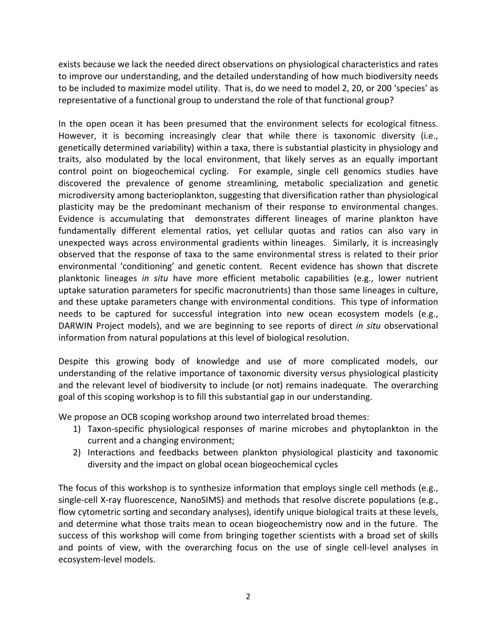exists because we lack the needed direct observations on physiological characteristics and rates to improve our understanding, and the detailed understanding of how much biodiversity needs to be included to maximize model utility. That is, do we need to model 2, 20, or 200 'species' as representative of a functional group to understand the role of that functional group?

In the open ocean it has been presumed that the environment selects for ecological fitness. However, it is becoming increasingly clear that while there is taxonomic diversity (i.e., genetically determined variability) within a taxa, there is substantial plasticity in physiology and traits, also modulated by the local environment, that likely serves as an equally important control point on biogeochemical cycling. For example, single cell genomics studies have discovered the prevalence of genome streamlining, metabolic specialization and genetic microdiversity among bacterioplankton, suggesting that diversification rather than physiological plasticity may be the predominant mechanism of their response to environmental changes. Evidence is accumulating that demonstrates different lineages of marine plankton have fundamentally different elemental ratios, yet cellular quotas and ratios can also vary in unexpected ways across environmental gradients within lineages. Similarly, it is increasingly observed that the response of taxa to the same environmental stress is related to their prior environmental 'conditioning' and genetic content. Recent evidence has shown that discrete planktonic lineages *in situ* have more efficient metabolic capabilities (e.g., lower nutrient uptake saturation parameters for specific macronutrients) than those same lineages in culture, and these uptake parameters change with environmental conditions. This type of information needs to be captured for successful integration into new ocean ecosystem models (e.g., DARWIN Project models), and we are beginning to see reports of direct *in situ* observational information from natural populations at this level of biological resolution.

Despite this growing body of knowledge and use of more complicated models, our understanding of the relative importance of taxonomic diversity versus physiological plasticity and the relevant level of biodiversity to include (or not) remains inadequate. The overarching goal of this scoping workshop is to fill this substantial gap in our understanding.

We propose an OCB scoping workshop around two interrelated broad themes:

- 1) Taxon‐specific physiological responses of marine microbes and phytoplankton in the current and a changing environment;
- 2) Interactions and feedbacks between plankton physiological plasticity and taxonomic diversity and the impact on global ocean biogeochemical cycles

The focus of this workshop is to synthesize information that employs single cell methods (e.g., single‐cell X‐ray fluorescence, NanoSIMS) and methods that resolve discrete populations (e.g., flow cytometric sorting and secondary analyses), identify unique biological traits at these levels, and determine what those traits mean to ocean biogeochemistry now and in the future. The success of this workshop will come from bringing together scientists with a broad set of skills and points of view, with the overarching focus on the use of single cell-level analyses in ecosystem‐level models.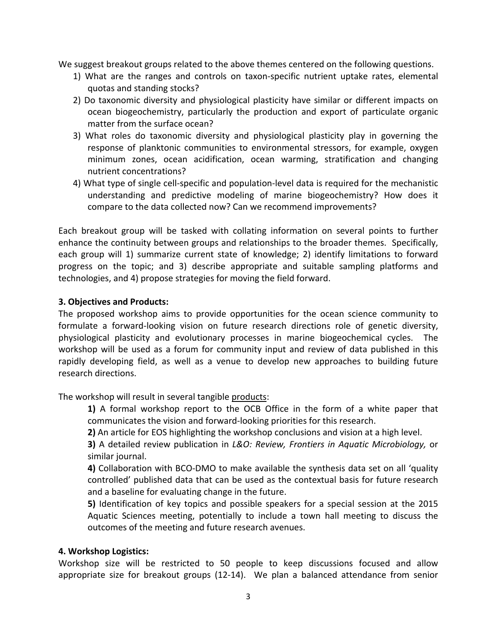We suggest breakout groups related to the above themes centered on the following questions.

- 1) What are the ranges and controls on taxon‐specific nutrient uptake rates, elemental quotas and standing stocks?
- 2) Do taxonomic diversity and physiological plasticity have similar or different impacts on ocean biogeochemistry, particularly the production and export of particulate organic matter from the surface ocean?
- 3) What roles do taxonomic diversity and physiological plasticity play in governing the response of planktonic communities to environmental stressors, for example, oxygen minimum zones, ocean acidification, ocean warming, stratification and changing nutrient concentrations?
- 4) What type of single cell-specific and population-level data is required for the mechanistic understanding and predictive modeling of marine biogeochemistry? How does it compare to the data collected now? Can we recommend improvements?

Each breakout group will be tasked with collating information on several points to further enhance the continuity between groups and relationships to the broader themes. Specifically, each group will 1) summarize current state of knowledge; 2) identify limitations to forward progress on the topic; and 3) describe appropriate and suitable sampling platforms and technologies, and 4) propose strategies for moving the field forward.

## **3. Objectives and Products:**

The proposed workshop aims to provide opportunities for the ocean science community to formulate a forward-looking vision on future research directions role of genetic diversity, physiological plasticity and evolutionary processes in marine biogeochemical cycles. The workshop will be used as a forum for community input and review of data published in this rapidly developing field, as well as a venue to develop new approaches to building future research directions.

The workshop will result in several tangible products:

**1)** A formal workshop report to the OCB Office in the form of a white paper that communicates the vision and forward‐looking priorities for this research.

**2)** An article for EOS highlighting the workshop conclusions and vision at a high level.

**3)** A detailed review publication in *L&O: Review, Frontiers in Aquatic Microbiology,* or similar journal.

**4)** Collaboration with BCO‐DMO to make available the synthesis data set on all 'quality controlled' published data that can be used as the contextual basis for future research and a baseline for evaluating change in the future.

**5)** Identification of key topics and possible speakers for a special session at the 2015 Aquatic Sciences meeting, potentially to include a town hall meeting to discuss the outcomes of the meeting and future research avenues.

### **4. Workshop Logistics:**

Workshop size will be restricted to 50 people to keep discussions focused and allow appropriate size for breakout groups (12-14). We plan a balanced attendance from senior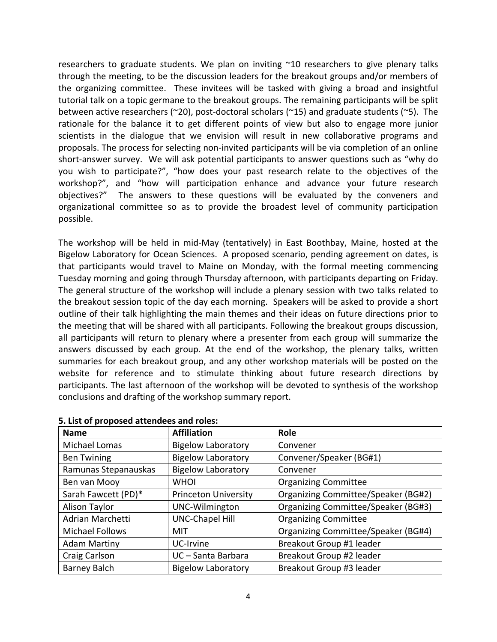researchers to graduate students. We plan on inviting ~10 researchers to give plenary talks through the meeting, to be the discussion leaders for the breakout groups and/or members of the organizing committee. These invitees will be tasked with giving a broad and insightful tutorial talk on a topic germane to the breakout groups. The remaining participants will be split between active researchers (~20), post‐doctoral scholars (~15) and graduate students (~5). The rationale for the balance it to get different points of view but also to engage more junior scientists in the dialogue that we envision will result in new collaborative programs and proposals. The process for selecting non‐invited participants will be via completion of an online short-answer survey. We will ask potential participants to answer questions such as "why do you wish to participate?", "how does your past research relate to the objectives of the workshop?", and "how will participation enhance and advance your future research objectives?" The answers to these questions will be evaluated by the conveners and organizational committee so as to provide the broadest level of community participation possible.

The workshop will be held in mid‐May (tentatively) in East Boothbay, Maine, hosted at the Bigelow Laboratory for Ocean Sciences. A proposed scenario, pending agreement on dates, is that participants would travel to Maine on Monday, with the formal meeting commencing Tuesday morning and going through Thursday afternoon, with participants departing on Friday. The general structure of the workshop will include a plenary session with two talks related to the breakout session topic of the day each morning. Speakers will be asked to provide a short outline of their talk highlighting the main themes and their ideas on future directions prior to the meeting that will be shared with all participants. Following the breakout groups discussion, all participants will return to plenary where a presenter from each group will summarize the answers discussed by each group. At the end of the workshop, the plenary talks, written summaries for each breakout group, and any other workshop materials will be posted on the website for reference and to stimulate thinking about future research directions by participants. The last afternoon of the workshop will be devoted to synthesis of the workshop conclusions and drafting of the workshop summary report.

| <b>Name</b>          | <b>Affiliation</b>          | Role                                |  |
|----------------------|-----------------------------|-------------------------------------|--|
| Michael Lomas        | <b>Bigelow Laboratory</b>   | Convener                            |  |
| <b>Ben Twining</b>   | <b>Bigelow Laboratory</b>   | Convener/Speaker (BG#1)             |  |
| Ramunas Stepanauskas | <b>Bigelow Laboratory</b>   | Convener                            |  |
| Ben van Mooy         | WHOI                        | <b>Organizing Committee</b>         |  |
| Sarah Fawcett (PD)*  | <b>Princeton University</b> | Organizing Committee/Speaker (BG#2) |  |
| Alison Taylor        | UNC-Wilmington              | Organizing Committee/Speaker (BG#3) |  |
| Adrian Marchetti     | <b>UNC-Chapel Hill</b>      | <b>Organizing Committee</b>         |  |
| Michael Follows      | MIT                         | Organizing Committee/Speaker (BG#4) |  |
| <b>Adam Martiny</b>  | UC-Irvine                   | Breakout Group #1 leader            |  |
| Craig Carlson        | UC - Santa Barbara          | Breakout Group #2 leader            |  |
| <b>Barney Balch</b>  | <b>Bigelow Laboratory</b>   | Breakout Group #3 leader            |  |

#### **5. List of proposed attendees and roles:**